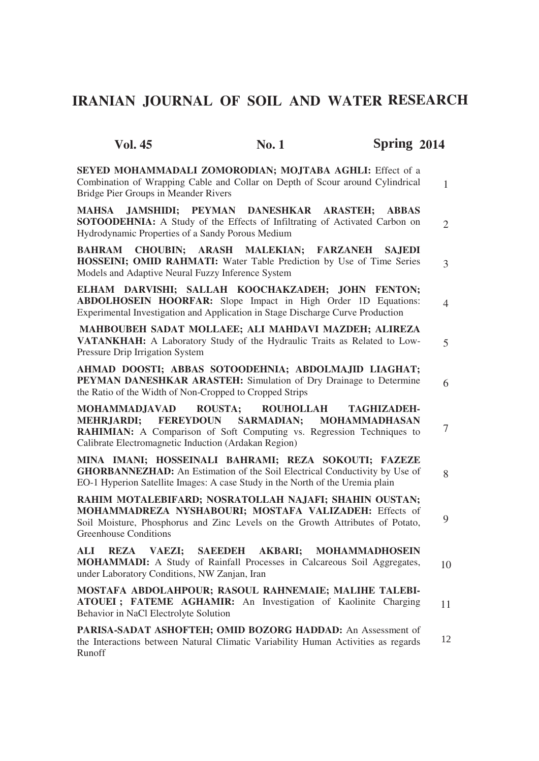# **IRANIAN JOURNAL OF SOIL AND WATER RESEARCH**

| <b>Vol. 45</b>                                                                                                                                                                                                                    | <b>No.1</b>      | Spring 2014                                |                |
|-----------------------------------------------------------------------------------------------------------------------------------------------------------------------------------------------------------------------------------|------------------|--------------------------------------------|----------------|
| SEYED MOHAMMADALI ZOMORODIAN; MOJTABA AGHLI: Effect of a<br>Combination of Wrapping Cable and Collar on Depth of Scour around Cylindrical<br>Bridge Pier Groups in Meander Rivers                                                 |                  |                                            | $\mathbf{1}$   |
| JAMSHIDI; PEYMAN DANESHKAR ARASTEH;<br>MAHSA<br><b>SOTOODEHNIA:</b> A Study of the Effects of Infiltrating of Activated Carbon on<br>Hydrodynamic Properties of a Sandy Porous Medium                                             |                  | <b>ABBAS</b>                               | $\overline{2}$ |
| CHOUBIN; ARASH MALEKIAN; FARZANEH<br><b>BAHRAM</b><br><b>HOSSEINI; OMID RAHMATI:</b> Water Table Prediction by Use of Time Series<br>Models and Adaptive Neural Fuzzy Inference System                                            |                  | <b>SAJEDI</b>                              | $\overline{3}$ |
| ELHAM DARVISHI; SALLAH KOOCHAKZADEH; JOHN FENTON;<br><b>ABDOLHOSEIN HOORFAR:</b> Slope Impact in High Order 1D Equations:<br>Experimental Investigation and Application in Stage Discharge Curve Production                       |                  |                                            | 4              |
| MAHBOUBEH SADAT MOLLAEE; ALI MAHDAVI MAZDEH; ALIREZA<br>VATANKHAH: A Laboratory Study of the Hydraulic Traits as Related to Low-<br>Pressure Drip Irrigation System                                                               |                  |                                            | $\overline{5}$ |
| AHMAD DOOSTI; ABBAS SOTOODEHNIA; ABDOLMAJID LIAGHAT;<br>PEYMAN DANESHKAR ARASTEH: Simulation of Dry Drainage to Determine<br>the Ratio of the Width of Non-Cropped to Cropped Strips                                              |                  |                                            | 6              |
| MOHAMMADJAVAD<br><b>ROUSTA;</b><br>MEHRJARDI; FEREYDOUN SARMADIAN;<br>RAHIMIAN: A Comparison of Soft Computing vs. Regression Techniques to<br>Calibrate Electromagnetic Induction (Ardakan Region)                               | <b>ROUHOLLAH</b> | <b>TAGHIZADEH-</b><br><b>MOHAMMADHASAN</b> | 7              |
| MINA IMANI; HOSSEINALI BAHRAMI; REZA SOKOUTI; FAZEZE<br><b>GHORBANNEZHAD:</b> An Estimation of the Soil Electrical Conductivity by Use of<br>EO-1 Hyperion Satellite Images: A case Study in the North of the Uremia plain        |                  |                                            | 8              |
| RAHIM MOTALEBIFARD; NOSRATOLLAH NAJAFI; SHAHIN OUSTAN;<br>MOHAMMADREZA NYSHABOURI; MOSTAFA VALIZADEH: Effects of<br>Soil Moisture, Phosphorus and Zinc Levels on the Growth Attributes of Potato,<br><b>Greenhouse Conditions</b> |                  |                                            | 9              |
| <b>VAEZI;</b><br>ALI<br><b>REZA</b><br><b>MOHAMMADI:</b> A Study of Rainfall Processes in Calcareous Soil Aggregates,<br>under Laboratory Conditions, NW Zanjan, Iran                                                             |                  | SAEEDEH AKBARI; MOHAMMADHOSEIN             | 10             |
| MOSTAFA ABDOLAHPOUR; RASOUL RAHNEMAIE; MALIHE TALEBI-<br>ATOUEI; FATEME AGHAMIR: An Investigation of Kaolinite Charging<br>Behavior in NaCl Electrolyte Solution                                                                  |                  |                                            | 11             |
| PARISA-SADAT ASHOFTEH; OMID BOZORG HADDAD: An Assessment of<br>the Interactions between Natural Climatic Variability Human Activities as regards<br>Runoff                                                                        |                  |                                            | 12             |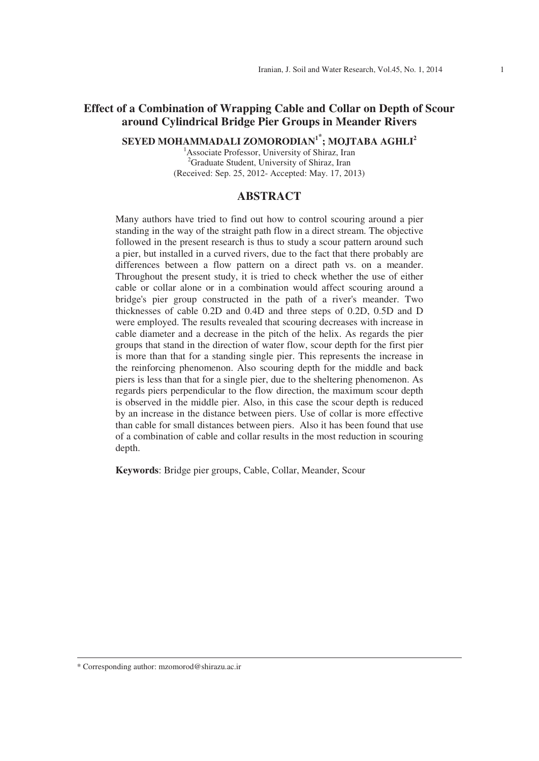# **Effect of a Combination of Wrapping Cable and Collar on Depth of Scour around Cylindrical Bridge Pier Groups in Meander Rivers**

**SEYED MOHAMMADALI ZOMORODIAN1 ; MOJTABA AGHLI<sup>2</sup>**

<sup>1</sup> Associate Professor, University of Shiraz, Iran <sup>2</sup>Graduate Student, University of Shiraz, Iran (Received: Sep. 25, 2012- Accepted: May. 17, 2013)

### **ABSTRACT**

Many authors have tried to find out how to control scouring around a pier standing in the way of the straight path flow in a direct stream. The objective followed in the present research is thus to study a scour pattern around such a pier, but installed in a curved rivers, due to the fact that there probably are differences between a flow pattern on a direct path vs. on a meander. Throughout the present study, it is tried to check whether the use of either cable or collar alone or in a combination would affect scouring around a bridge's pier group constructed in the path of a river's meander. Two thicknesses of cable 0.2D and 0.4D and three steps of 0.2D, 0.5D and D were employed. The results revealed that scouring decreases with increase in cable diameter and a decrease in the pitch of the helix. As regards the pier groups that stand in the direction of water flow, scour depth for the first pier is more than that for a standing single pier. This represents the increase in the reinforcing phenomenon. Also scouring depth for the middle and back piers is less than that for a single pier, due to the sheltering phenomenon. As regards piers perpendicular to the flow direction, the maximum scour depth is observed in the middle pier. Also, in this case the scour depth is reduced by an increase in the distance between piers. Use of collar is more effective than cable for small distances between piers. Also it has been found that use of a combination of cable and collar results in the most reduction in scouring depth.

**Keywords**: Bridge pier groups, Cable, Collar, Meander, Scour

<sup>\*</sup> Corresponding author: mzomorod@shirazu.ac.ir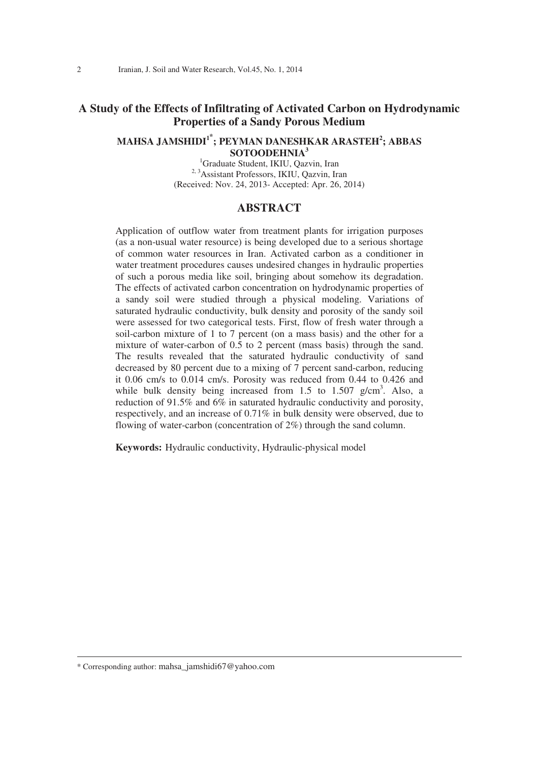# **A Study of the Effects of Infiltrating of Activated Carbon on Hydrodynamic Properties of a Sandy Porous Medium**

### **MAHSA JAMSHIDI<sup>1</sup> ; PEYMAN DANESHKAR ARASTEH<sup>2</sup> ; ABBAS SOTOODEHNIA3 SOTOODEHNIA**<sup>3</sup><br><sup>1</sup>Graduate Student, IKIU, Qazvin, Iran

2, 3Assistant Professors, IKIU, Qazvin, Iran (Received: Nov. 24, 2013- Accepted: Apr. 26, 2014)

### **ABSTRACT**

Application of outflow water from treatment plants for irrigation purposes (as a non-usual water resource) is being developed due to a serious shortage of common water resources in Iran. Activated carbon as a conditioner in water treatment procedures causes undesired changes in hydraulic properties of such a porous media like soil, bringing about somehow its degradation. The effects of activated carbon concentration on hydrodynamic properties of a sandy soil were studied through a physical modeling. Variations of saturated hydraulic conductivity, bulk density and porosity of the sandy soil were assessed for two categorical tests. First, flow of fresh water through a soil-carbon mixture of 1 to 7 percent (on a mass basis) and the other for a mixture of water-carbon of 0.5 to 2 percent (mass basis) through the sand. The results revealed that the saturated hydraulic conductivity of sand decreased by 80 percent due to a mixing of 7 percent sand-carbon, reducing it 0.06 cm/s to 0.014 cm/s. Porosity was reduced from 0.44 to 0.426 and while bulk density being increased from  $1.5$  to  $1.507$  g/cm<sup>3</sup>. Also, a reduction of 91.5% and 6% in saturated hydraulic conductivity and porosity, respectively, and an increase of 0.71% in bulk density were observed, due to flowing of water-carbon (concentration of 2%) through the sand column.

**Keywords:** Hydraulic conductivity, Hydraulic-physical model

\* Corresponding author: mahsa\_jamshidi67@yahoo.com

 $\overline{a}$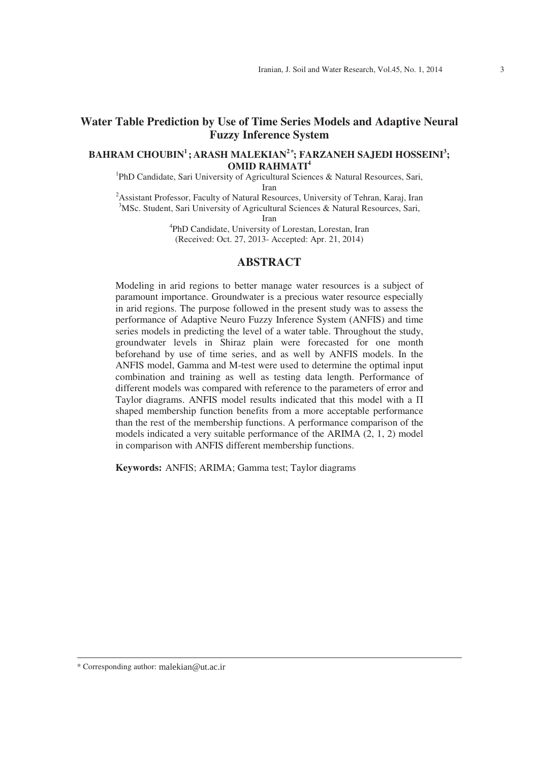# **Water Table Prediction by Use of Time Series Models and Adaptive Neural Fuzzy Inference System**

### **BAHRAM CHOUBIN1 ; ARASH MALEKIAN2 ; FARZANEH SAJEDI HOSSEINI<sup>3</sup> ; OMID RAHMATI<sup>4</sup>** <sup>1</sup> PhD Candidate, Sari University of Agricultural Sciences & Natural Resources, Sari,

Iran<br><sup>2</sup> Assistant Professor, Faculty of Natural Resources, University of Tehran, Karaj, Iran <sup>3</sup>MSc. Student, Sari University of Agricultural Sciences & Natural Resources, Sari,

Iran 4 PhD Candidate, University of Lorestan, Lorestan, Iran (Received: Oct. 27, 2013- Accepted: Apr. 21, 2014)

### **ABSTRACT**

Modeling in arid regions to better manage water resources is a subject of paramount importance. Groundwater is a precious water resource especially in arid regions. The purpose followed in the present study was to assess the performance of Adaptive Neuro Fuzzy Inference System (ANFIS) and time series models in predicting the level of a water table. Throughout the study, groundwater levels in Shiraz plain were forecasted for one month beforehand by use of time series, and as well by ANFIS models. In the ANFIS model, Gamma and M-test were used to determine the optimal input combination and training as well as testing data length. Performance of different models was compared with reference to the parameters of error and Taylor diagrams. ANFIS model results indicated that this model with a  $\Pi$ shaped membership function benefits from a more acceptable performance than the rest of the membership functions. A performance comparison of the models indicated a very suitable performance of the ARIMA (2, 1, 2) model in comparison with ANFIS different membership functions.

**Keywords:** ANFIS; ARIMA; Gamma test; Taylor diagrams

<sup>\*</sup> Corresponding author: malekian@ut.ac.ir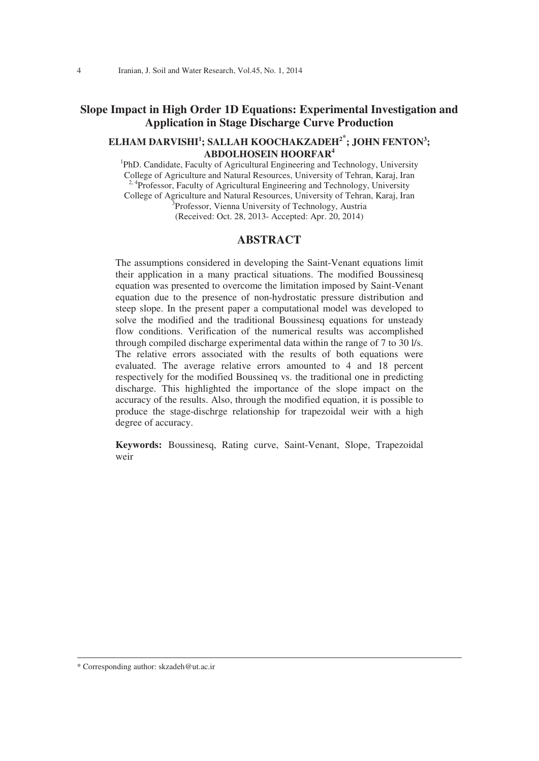## **Slope Impact in High Order 1D Equations: Experimental Investigation and Application in Stage Discharge Curve Production**

### **ELHAM DARVISHI<sup>1</sup> ; SALLAH KOOCHAKZADEH<sup>2</sup> ; JOHN FENTON3 ; ABDOLHOSEIN HOORFAR4 ABDOLHOSEIN HOORFAR<sup>4</sup>**<br><sup>1</sup>PhD. Candidate, Faculty of Agricultural Engineering and Technology, University

College of Agriculture and Natural Resources, University of Tehran, Karaj, Iran <sup>2, 4</sup>Professor, Faculty of Agricultural Engineering and Technology, University College of Agriculture and Natural Resources, University of Tehran, Karaj, Iran 3 <sup>3</sup>Professor, Vienna University of Technology, Austria (Received: Oct. 28, 2013- Accepted: Apr. 20, 2014)

### **ABSTRACT**

The assumptions considered in developing the Saint-Venant equations limit their application in a many practical situations. The modified Boussinesq equation was presented to overcome the limitation imposed by Saint-Venant equation due to the presence of non-hydrostatic pressure distribution and steep slope. In the present paper a computational model was developed to solve the modified and the traditional Boussinesq equations for unsteady flow conditions. Verification of the numerical results was accomplished through compiled discharge experimental data within the range of 7 to 30 l/s. The relative errors associated with the results of both equations were evaluated. The average relative errors amounted to 4 and 18 percent respectively for the modified Boussineq vs. the traditional one in predicting discharge. This highlighted the importance of the slope impact on the accuracy of the results. Also, through the modified equation, it is possible to produce the stage-dischrge relationship for trapezoidal weir with a high degree of accuracy.

**Keywords:** Boussinesq, Rating curve, Saint-Venant, Slope, Trapezoidal weir

\* Corresponding author: skzadeh@ut.ac.ir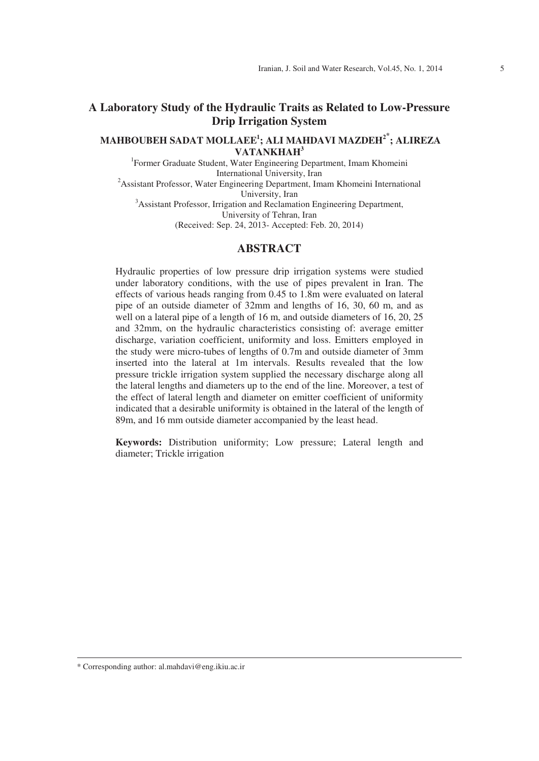# **A Laboratory Study of the Hydraulic Traits as Related to Low-Pressure Drip Irrigation System**

### **MAHBOUBEH SADAT MOLLAEE1 ; ALI MAHDAVI MAZDEH<sup>2</sup> ; ALIREZA VATANKHAH<sup>3</sup> 1**<br><sup>1</sup> Former Graduate Student, Water Engineering Department, Imam Khomeini

International University, Iran<br>
<sup>2</sup> Assistant Professor, Water Engineering Department, Imam Khomeini International

University, Iran<br>
<sup>3</sup> Assistant Professor, Irrigation and Reclamation Engineering Department, University of Tehran, Iran (Received: Sep. 24, 2013- Accepted: Feb. 20, 2014)

### **ABSTRACT**

Hydraulic properties of low pressure drip irrigation systems were studied under laboratory conditions, with the use of pipes prevalent in Iran. The effects of various heads ranging from 0.45 to 1.8m were evaluated on lateral pipe of an outside diameter of 32mm and lengths of 16, 30, 60 m, and as well on a lateral pipe of a length of 16 m, and outside diameters of 16, 20, 25 and 32mm, on the hydraulic characteristics consisting of: average emitter discharge, variation coefficient, uniformity and loss. Emitters employed in the study were micro-tubes of lengths of 0.7m and outside diameter of 3mm inserted into the lateral at 1m intervals. Results revealed that the low pressure trickle irrigation system supplied the necessary discharge along all the lateral lengths and diameters up to the end of the line. Moreover, a test of the effect of lateral length and diameter on emitter coefficient of uniformity indicated that a desirable uniformity is obtained in the lateral of the length of 89m, and 16 mm outside diameter accompanied by the least head.

**Keywords:** Distribution uniformity; Low pressure; Lateral length and diameter; Trickle irrigation

<sup>\*</sup> Corresponding author: al.mahdavi@eng.ikiu.ac.ir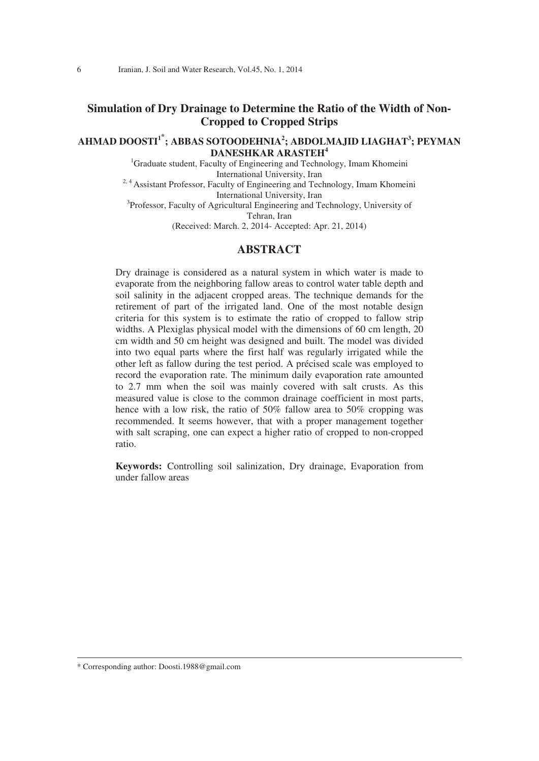# **Simulation of Dry Drainage to Determine the Ratio of the Width of Non-Cropped to Cropped Strips**

### **AHMAD DOOSTI<sup>1</sup> ; ABBAS SOTOODEHNIA2 ; ABDOLMAJID LIAGHAT3 ; PEYMAN DANESHKAR ARASTEH<sup>4</sup> DANESHKAR ARASTEH<sup>4</sup>**<br><sup>1</sup>Graduate student, Faculty of Engineering and Technology, Imam Khomeini

International University, Iran

<sup>2, 4</sup> Assistant Professor, Faculty of Engineering and Technology, Imam Khomeini<br>International University, Iran

International University, Iran<br>
<sup>3</sup> Professor, Faculty of Agricultural Engineering and Technology, University of Tehran, Iran

(Received: March. 2, 2014- Accepted: Apr. 21, 2014)

### **ABSTRACT**

Dry drainage is considered as a natural system in which water is made to evaporate from the neighboring fallow areas to control water table depth and soil salinity in the adjacent cropped areas. The technique demands for the retirement of part of the irrigated land. One of the most notable design criteria for this system is to estimate the ratio of cropped to fallow strip widths. A Plexiglas physical model with the dimensions of 60 cm length, 20 cm width and 50 cm height was designed and built. The model was divided into two equal parts where the first half was regularly irrigated while the other left as fallow during the test period. A précised scale was employed to record the evaporation rate. The minimum daily evaporation rate amounted to 2.7 mm when the soil was mainly covered with salt crusts. As this measured value is close to the common drainage coefficient in most parts, hence with a low risk, the ratio of 50% fallow area to 50% cropping was recommended. It seems however, that with a proper management together with salt scraping, one can expect a higher ratio of cropped to non-cropped ratio.

**Keywords:** Controlling soil salinization, Dry drainage, Evaporation from under fallow areas

<sup>\*</sup> Corresponding author: Doosti.1988@gmail.com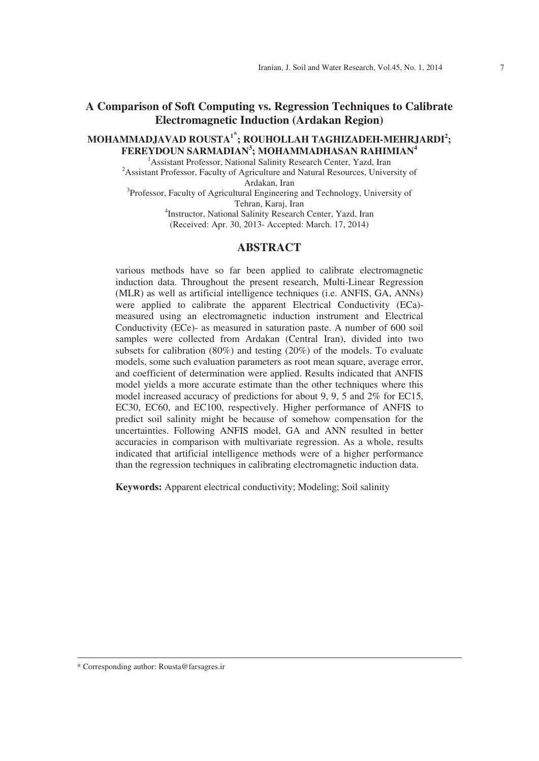# **A Comparison of Soft Computing vs. Regression Techniques to Calibrate Electromagnetic Induction (Ardakan Region)**

# **MOHAMMADJAVAD ROUSTA<sup>1</sup> ; ROUHOLLAH TAGHIZADEH-MEHRJARDI<sup>2</sup> ; FEREYDOUN SARMADIAN<sup>3</sup>; MOHAMMADHASAN RAHIMIAN<sup>4</sup><br>
<sup>1</sup>A scistant Brafassor, National Salinity Besearch Center, Nazd, Iran**

<sup>1</sup> Assistant Professor, National Salinity Research Center, Yazd, Iran  $2$ Assistant Professor, Faculty of Agriculture and Natural Resources, University of Ardakan, Iran Ardakan, Iran<br><sup>3</sup> Professor, Faculty of Agricultural Engineering and Technology, University of Tehran, Karaj, Iran 4 Instructor, National Salinity Research Center, Yazd, Iran

(Received: Apr. 30, 2013- Accepted: March. 17, 2014)

### **ABSTRACT**

various methods have so far been applied to calibrate electromagnetic induction data. Throughout the present research, Multi-Linear Regression (MLR) as well as artificial intelligence techniques (i.e. ANFIS, GA, ANNs) were applied to calibrate the apparent Electrical Conductivity (ECa) measured using an electromagnetic induction instrument and Electrical Conductivity (ECe)- as measured in saturation paste. A number of 600 soil samples were collected from Ardakan (Central Iran), divided into two subsets for calibration (80%) and testing (20%) of the models. To evaluate models, some such evaluation parameters as root mean square, average error, and coefficient of determination were applied. Results indicated that ANFIS model yields a more accurate estimate than the other techniques where this model increased accuracy of predictions for about 9, 9, 5 and 2% for EC15, EC30, EC60, and EC100, respectively. Higher performance of ANFIS to predict soil salinity might be because of somehow compensation for the uncertainties. Following ANFIS model, GA and ANN resulted in better accuracies in comparison with multivariate regression. As a whole, results indicated that artificial intelligence methods were of a higher performance than the regression techniques in calibrating electromagnetic induction data.

**Keywords:** Apparent electrical conductivity; Modeling; Soil salinity

<sup>\*</sup> Corresponding author: Rousta@farsagres.ir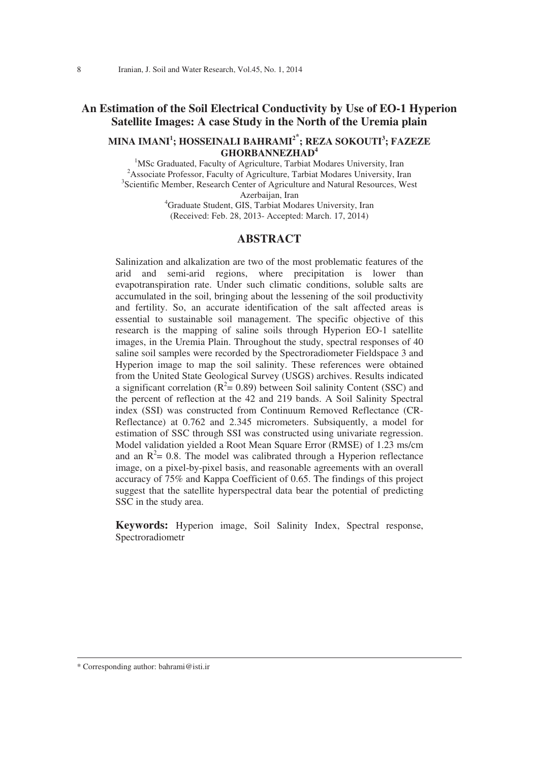## **An Estimation of the Soil Electrical Conductivity by Use of EO-1 Hyperion Satellite Images: A case Study in the North of the Uremia plain**

#### **MINA IMANI<sup>1</sup> ; HOSSEINALI BAHRAMI<sup>2</sup> ; REZA SOKOUTI3 ; FAZEZE GHORBANNEZHAD4 GHORBANNEZHAD<sup>4</sup>**<br><sup>1</sup>MSc Greduated Faculty of Agriculture Terbiat M

<sup>1</sup>MSc Graduated, Faculty of Agriculture, Tarbiat Modares University, Iran  $\frac{2}{3}$ Agooista Professor, Faculture, Agriculture, Tarbiat Modares University, Iran <sup>2</sup> Associate Professor, Faculty of Agriculture, Tarbiat Modares University, Iran <sup>3</sup>Scientific Member, Research Center of Agriculture and Natural Resources, West Azerbaijan, Iran<br><sup>4</sup>Graduate Student, GIS, Tarbiat Modares University, Iran

(Received: Feb. 28, 2013- Accepted: March. 17, 2014)

### **ABSTRACT**

Salinization and alkalization are two of the most problematic features of the arid and semi-arid regions, where precipitation is lower than evapotranspiration rate. Under such climatic conditions, soluble salts are accumulated in the soil, bringing about the lessening of the soil productivity and fertility. So, an accurate identification of the salt affected areas is essential to sustainable soil management. The specific objective of this research is the mapping of saline soils through Hyperion EO-1 satellite images, in the Uremia Plain. Throughout the study, spectral responses of 40 saline soil samples were recorded by the Spectroradiometer Fieldspace 3 and Hyperion image to map the soil salinity. These references were obtained from the United State Geological Survey (USGS) archives. Results indicated a significant correlation ( $R^2$  = 0.89) between Soil salinity Content (SSC) and the percent of reflection at the 42 and 219 bands. A Soil Salinity Spectral index (SSI) was constructed from Continuum Removed Reflectance (CR-Reflectance) at 0.762 and 2.345 micrometers. Subsiquently, a model for estimation of SSC through SSI was constructed using univariate regression. Model validation yielded a Root Mean Square Error (RMSE) of 1.23 ms/cm and an  $R^2$  = 0.8. The model was calibrated through a Hyperion reflectance image, on a pixel-by-pixel basis, and reasonable agreements with an overall accuracy of 75% and Kappa Coefficient of 0.65. The findings of this project suggest that the satellite hyperspectral data bear the potential of predicting SSC in the study area.

**Keywords:** Hyperion image, Soil Salinity Index, Spectral response, Spectroradiometr

\* Corresponding author: bahrami@isti.ir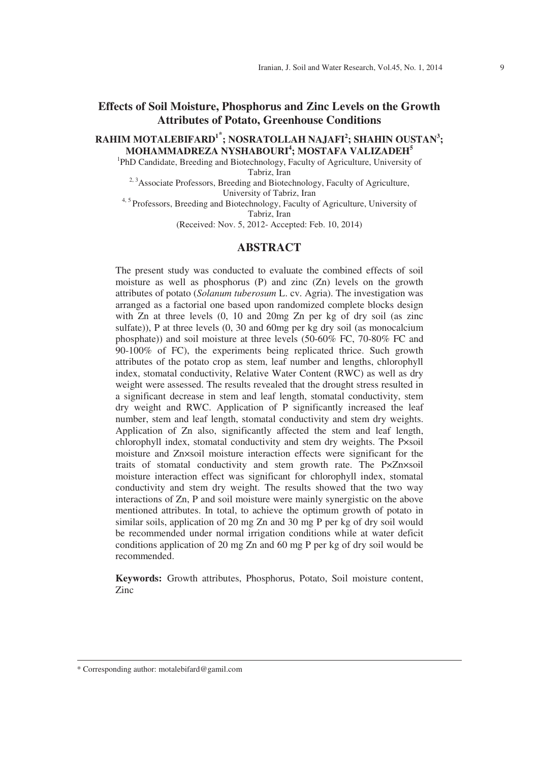## **Effects of Soil Moisture, Phosphorus and Zinc Levels on the Growth Attributes of Potato, Greenhouse Conditions**

# **RAHIM MOTALEBIFARD<sup>1\*</sup>; NOSRATOLLAH NAJAFI<sup>2</sup>; SHAHIN OUSTAN<sup>3</sup>; MOHAMMADREZA NYSHABOURI<sup>4</sup>; MOSTAFA VALIZADEH<sup>5</sup><br><sup>1</sup>DbD Condidate Prooding and Piotechnology, Foculty of Agriculture University**

PhD Candidate, Breeding and Biotechnology, Faculty of Agriculture, University of Tabriz, Iran

<sup>2, 3</sup>Associate Professors, Breeding and Biotechnology, Faculty of Agriculture, University of Tabriz, Iran

<sup>4, 5</sup> Professors, Breeding and Biotechnology, Faculty of Agriculture, University of Tabriz, Iran

(Received: Nov. 5, 2012- Accepted: Feb. 10, 2014)

### **ABSTRACT**

The present study was conducted to evaluate the combined effects of soil moisture as well as phosphorus (P) and zinc (Zn) levels on the growth attributes of potato (*Solanum tuberosum* L. cv. Agria). The investigation was arranged as a factorial one based upon randomized complete blocks design with Zn at three levels  $(0, 10$  and  $20mg$  Zn per kg of dry soil (as zinc sulfate)), P at three levels (0, 30 and 60mg per kg dry soil (as monocalcium phosphate)) and soil moisture at three levels (50-60% FC, 70-80% FC and 90-100% of FC), the experiments being replicated thrice. Such growth attributes of the potato crop as stem, leaf number and lengths, chlorophyll index, stomatal conductivity, Relative Water Content (RWC) as well as dry weight were assessed. The results revealed that the drought stress resulted in a significant decrease in stem and leaf length, stomatal conductivity, stem dry weight and RWC. Application of P significantly increased the leaf number, stem and leaf length, stomatal conductivity and stem dry weights. Application of Zn also, significantly affected the stem and leaf length, chlorophyll index, stomatal conductivity and stem dry weights. The P×soil moisture and Zn×soil moisture interaction effects were significant for the traits of stomatal conductivity and stem growth rate. The P×Zn×soil moisture interaction effect was significant for chlorophyll index, stomatal conductivity and stem dry weight. The results showed that the two way interactions of Zn, P and soil moisture were mainly synergistic on the above mentioned attributes. In total, to achieve the optimum growth of potato in similar soils, application of 20 mg Zn and 30 mg P per kg of dry soil would be recommended under normal irrigation conditions while at water deficit conditions application of 20 mg Zn and 60 mg P per kg of dry soil would be recommended.

**Keywords:** Growth attributes, Phosphorus, Potato, Soil moisture content, Zinc

 $\overline{a}$ 

<sup>\*</sup> Corresponding author: motalebifard@gamil.com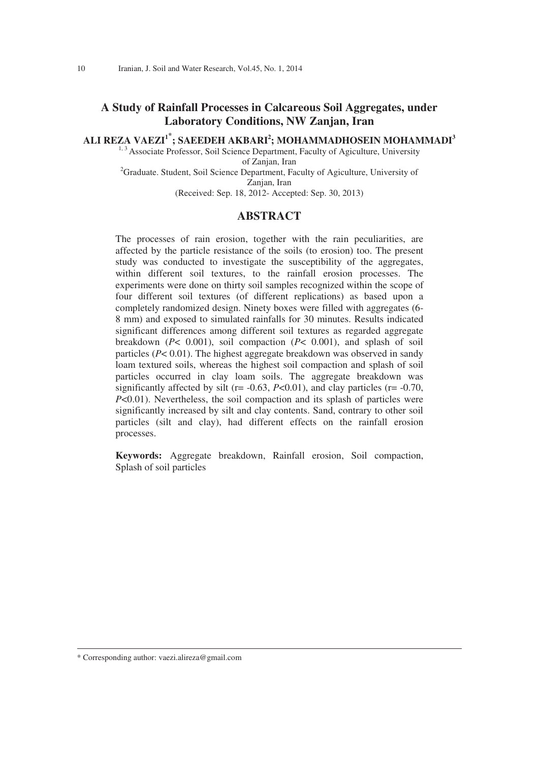# **A Study of Rainfall Processes in Calcareous Soil Aggregates, under Laboratory Conditions, NW Zanjan, Iran**

ALI REZA VAEZI<sup>1\*</sup>; SAEEDEH AKBARI<sup>2</sup>; MOHAMMADHOSEIN MOHAMMADI<sup>3</sup><br>
<sup>1, 3</sup> Associate Professor, Soil Science Department, Faculty of Agiculture, University

of Zanjan, Iran<br>
<sup>2</sup>Graduate. Student, Soil Science Department, Faculty of Agiculture, University of

Zanjan, Iran

(Received: Sep. 18, 2012- Accepted: Sep. 30, 2013)

### **ABSTRACT**

The processes of rain erosion, together with the rain peculiarities, are affected by the particle resistance of the soils (to erosion) too. The present study was conducted to investigate the susceptibility of the aggregates, within different soil textures, to the rainfall erosion processes. The experiments were done on thirty soil samples recognized within the scope of four different soil textures (of different replications) as based upon a completely randomized design. Ninety boxes were filled with aggregates (6- 8 mm) and exposed to simulated rainfalls for 30 minutes. Results indicated significant differences among different soil textures as regarded aggregate breakdown (*P*< 0.001), soil compaction (*P*< 0.001), and splash of soil particles (*P*< 0.01). The highest aggregate breakdown was observed in sandy loam textured soils, whereas the highest soil compaction and splash of soil particles occurred in clay loam soils. The aggregate breakdown was significantly affected by silt ( $r = -0.63$ ,  $P < 0.01$ ), and clay particles ( $r = -0.70$ , *P*<0.01). Nevertheless, the soil compaction and its splash of particles were significantly increased by silt and clay contents. Sand, contrary to other soil particles (silt and clay), had different effects on the rainfall erosion processes.

**Keywords:** Aggregate breakdown, Rainfall erosion, Soil compaction, Splash of soil particles

\* Corresponding author: vaezi.alireza@gmail.com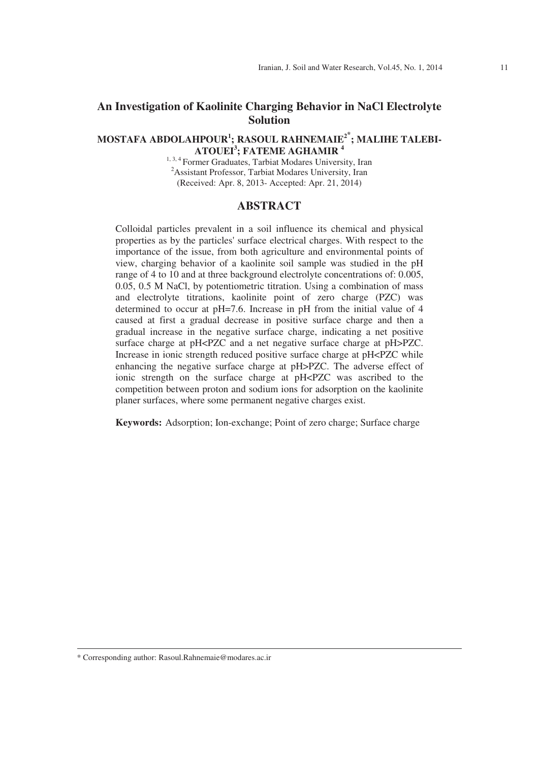# **An Investigation of Kaolinite Charging Behavior in NaCl Electrolyte Solution**

# **MOSTAFA ABDOLAHPOUR1 ; RASOUL RAHNEMAIE2 ; MALIHE TALEBI-ATOUEI<sup>3</sup> ; FATEME AGHAMIR 4**

<sup>1, 3, 4</sup> Former Graduates, Tarbiat Modares University, Iran Assistant Professor, Tarbiat Modares University, Iran (Received: Apr. 8, 2013- Accepted: Apr. 21, 2014)

## **ABSTRACT**

Colloidal particles prevalent in a soil influence its chemical and physical properties as by the particles' surface electrical charges. With respect to the importance of the issue, from both agriculture and environmental points of view, charging behavior of a kaolinite soil sample was studied in the pH range of 4 to 10 and at three background electrolyte concentrations of: 0.005, 0.05, 0.5 M NaCl, by potentiometric titration. Using a combination of mass and electrolyte titrations, kaolinite point of zero charge (PZC) was determined to occur at pH=7.6. Increase in pH from the initial value of 4 caused at first a gradual decrease in positive surface charge and then a gradual increase in the negative surface charge, indicating a net positive surface charge at pH<PZC and a net negative surface charge at pH>PZC. Increase in ionic strength reduced positive surface charge at pH<PZC while enhancing the negative surface charge at pH>PZC. The adverse effect of ionic strength on the surface charge at pH<PZC was ascribed to the competition between proton and sodium ions for adsorption on the kaolinite planer surfaces, where some permanent negative charges exist.

**Keywords:** Adsorption; Ion-exchange; Point of zero charge; Surface charge

<sup>\*</sup> Corresponding author: Rasoul.Rahnemaie@modares.ac.ir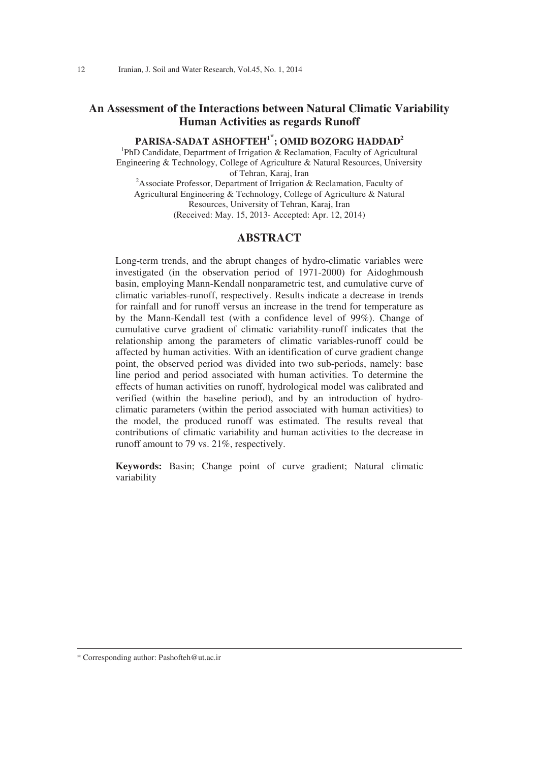# **An Assessment of the Interactions between Natural Climatic Variability Human Activities as regards Runoff**

# **PARISA-SADAT ASHOFTEH<sup>1</sup><sup>\*</sup>; OMID BOZORG HADDAD<sup>2</sup><br>
<sup>1</sup>PbD Candidate Department of Irrigation & Peolemation Feculty of Agriculty**

<sup>1</sup>PhD Candidate, Department of Irrigation  $\&$  Reclamation, Faculty of Agricultural Engineering & Technology, College of Agriculture & Natural Resources, University of Tehran, Karaj, Iran<br>
<sup>2</sup> Associate Professor, Department of Irrigation & Reclamation, Faculty of Agricultural Engineering & Technology, College of Agriculture & Natural Resources, University of Tehran, Karaj, Iran (Received: May. 15, 2013- Accepted: Apr. 12, 2014)

#### **ABSTRACT**

Long-term trends, and the abrupt changes of hydro-climatic variables were investigated (in the observation period of 1971-2000) for Aidoghmoush basin, employing Mann-Kendall nonparametric test, and cumulative curve of climatic variables-runoff, respectively. Results indicate a decrease in trends for rainfall and for runoff versus an increase in the trend for temperature as by the Mann-Kendall test (with a confidence level of 99%). Change of cumulative curve gradient of climatic variability-runoff indicates that the relationship among the parameters of climatic variables-runoff could be affected by human activities. With an identification of curve gradient change point, the observed period was divided into two sub-periods, namely: base line period and period associated with human activities. To determine the effects of human activities on runoff, hydrological model was calibrated and verified (within the baseline period), and by an introduction of hydroclimatic parameters (within the period associated with human activities) to the model, the produced runoff was estimated. The results reveal that contributions of climatic variability and human activities to the decrease in runoff amount to 79 vs. 21%, respectively.

**Keywords:** Basin; Change point of curve gradient; Natural climatic variability

\* Corresponding author: Pashofteh@ut.ac.ir